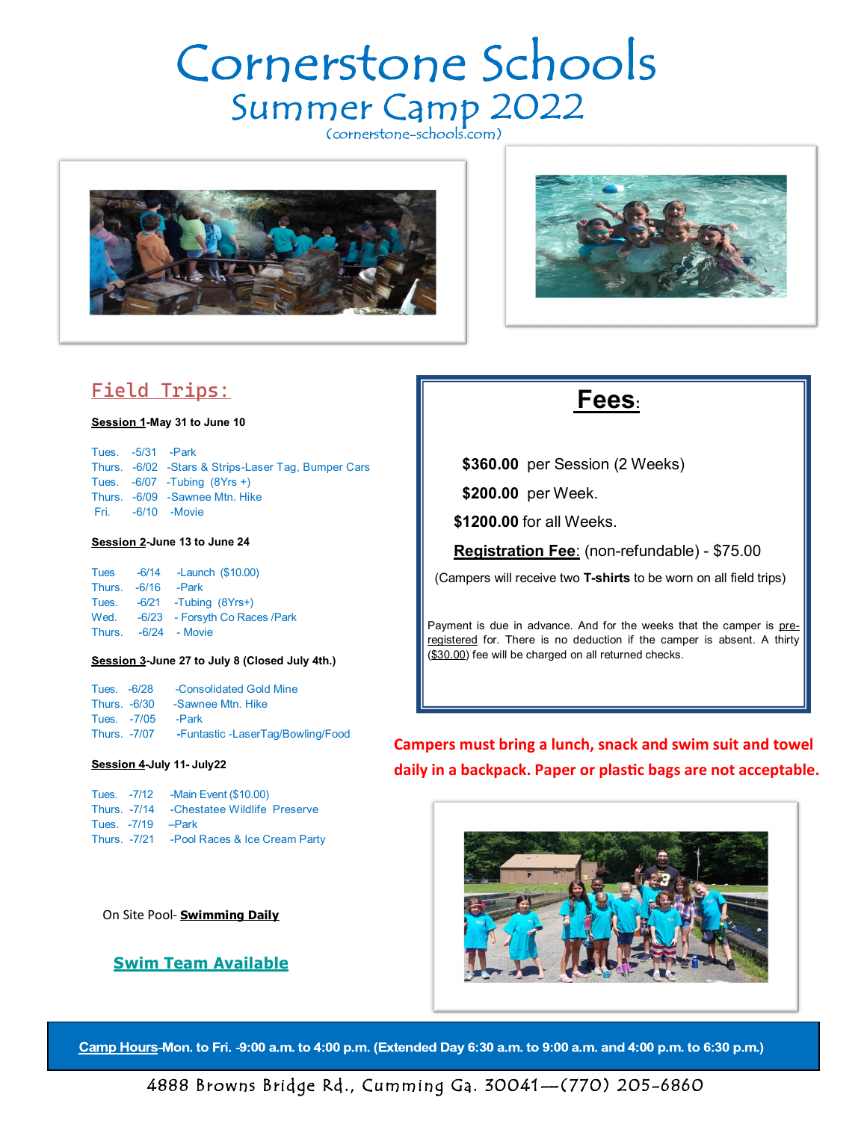# Cornerstone Schools Summer Camp 2022





## **Field Trips:**

**-May 31 to June 10**

Tues. -5/31 -Park Thurs. -6/02 -Stars & Strips-Laser Tag, Bumper Cars Tues. -6/07 -Tubing (8Yrs +) Thurs. -6/09 -Sawnee Mtn. Hike Fri. -6/10 -Movie

**-June 13 to June 24**

Tues -6/14 -Launch (\$10.00) Thurs. -6/16 -Park Tues. -6/21 -Tubing (8Yrs+) Wed. -6/23 - Forsyth Co Races /Park Thurs. -6/24 - Movie

#### **-June 27 to July 8 (Closed July 4th.)**

Tues. -6/28 -Consolidated Gold Mine Thurs. -6/30 -Sawnee Mtn. Hike Tues. -7/05 -Park Thurs. -7/07 **-**Funtastic -LaserTag/Bowling/Food

#### **-July 11- July22**

Tues. -7/12 -Main Event (\$10.00) Thurs. -7/14 -Chestatee Wildlife Preserve Tues. -7/19 –Park Thurs. -7/21 -Pool Races & Ice Cream Party

On Site Pool- **Swimming Daily**

### **wim Team Available**

## **Fees:**

**\$360.00** per Session (2 Weeks)

**\$200.00** per Week.

**\$1200.00** for all Weeks.

**Registration Fee**: (non-refundable) - \$75.00

(Campers will receive two **T-shirts** to be worn on all field trips)

Payment is due in advance. And for the weeks that the camper is preregistered for. There is no deduction if the camper is absent. A thirty (\$30.00) fee will be charged on all returned checks.

**Campers must bring a lunch, snack and swim suit and towel daily in a backpack. Paper or plastic bags are not acceptable.**



Camp Hours-Mon. to Fri. -9:00 a.m. to 4:00 p.m. (Extended Day 6:30 a.m. to 9:00 a.m. and 4:00 p.m. to 6:30 p.m.)

4888 Browns Bridge Rd., Cumming Ga. 30041—(770) 205-6860